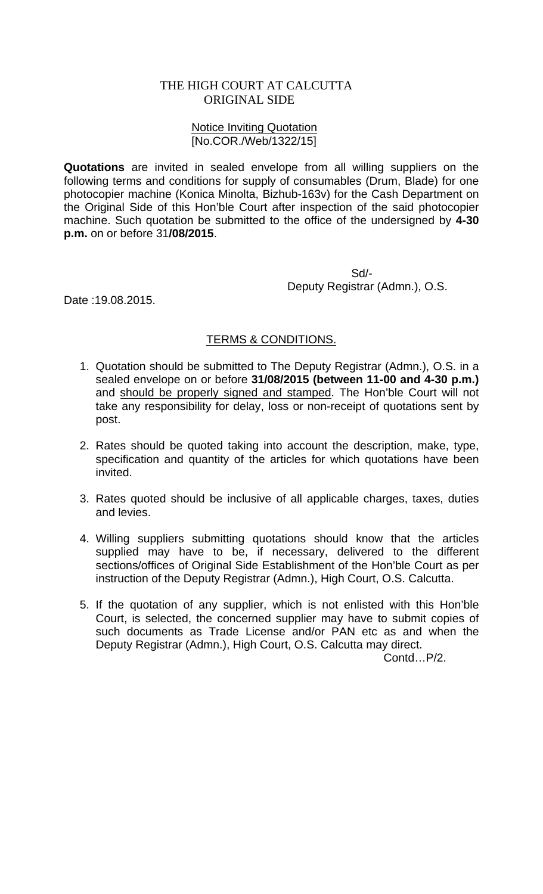## THE HIGH COURT AT CALCUTTA ORIGINAL SIDE

## Notice Inviting Quotation [No.COR./Web/1322/15]

**Quotations** are invited in sealed envelope from all willing suppliers on the following terms and conditions for supply of consumables (Drum, Blade) for one photocopier machine (Konica Minolta, Bizhub-163v) for the Cash Department on the Original Side of this Hon'ble Court after inspection of the said photocopier machine. Such quotation be submitted to the office of the undersigned by **4-30 p.m.** on or before 31**/08/2015**.

> Sd/- Deputy Registrar (Admn.), O.S.

Date :19.08.2015.

## TERMS & CONDITIONS.

- 1. Quotation should be submitted to The Deputy Registrar (Admn.), O.S. in a sealed envelope on or before **31/08/2015 (between 11-00 and 4-30 p.m.)** and should be properly signed and stamped. The Hon'ble Court will not take any responsibility for delay, loss or non-receipt of quotations sent by post.
- 2. Rates should be quoted taking into account the description, make, type, specification and quantity of the articles for which quotations have been invited.
- 3. Rates quoted should be inclusive of all applicable charges, taxes, duties and levies.
- 4. Willing suppliers submitting quotations should know that the articles supplied may have to be, if necessary, delivered to the different sections/offices of Original Side Establishment of the Hon'ble Court as per instruction of the Deputy Registrar (Admn.), High Court, O.S. Calcutta.
- 5. If the quotation of any supplier, which is not enlisted with this Hon'ble Court, is selected, the concerned supplier may have to submit copies of such documents as Trade License and/or PAN etc as and when the Deputy Registrar (Admn.), High Court, O.S. Calcutta may direct.

Contd…P/2.